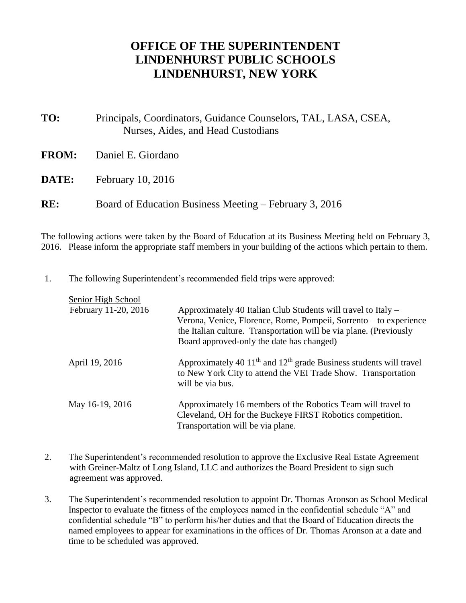## **OFFICE OF THE SUPERINTENDENT LINDENHURST PUBLIC SCHOOLS LINDENHURST, NEW YORK**

| TO:          | Principals, Coordinators, Guidance Counselors, TAL, LASA, CSEA,<br>Nurses, Aides, and Head Custodians |
|--------------|-------------------------------------------------------------------------------------------------------|
| <b>FROM:</b> | Daniel E. Giordano                                                                                    |
| DATE:        | <b>February 10, 2016</b>                                                                              |
| RE:          | Board of Education Business Meeting – February 3, 2016                                                |

The following actions were taken by the Board of Education at its Business Meeting held on February 3, 2016. Please inform the appropriate staff members in your building of the actions which pertain to them.

1. The following Superintendent's recommended field trips were approved:

| Senior High School   |                                                                                                                                                                |
|----------------------|----------------------------------------------------------------------------------------------------------------------------------------------------------------|
| February 11-20, 2016 | Approximately 40 Italian Club Students will travel to Italy –                                                                                                  |
|                      | Verona, Venice, Florence, Rome, Pompeii, Sorrento – to experience                                                                                              |
|                      | the Italian culture. Transportation will be via plane. (Previously                                                                                             |
|                      | Board approved-only the date has changed)                                                                                                                      |
| April 19, 2016       | Approximately 40 $11th$ and $12th$ grade Business students will travel<br>to New York City to attend the VEI Trade Show. Transportation<br>will be via bus.    |
| May 16-19, 2016      | Approximately 16 members of the Robotics Team will travel to<br>Cleveland, OH for the Buckeye FIRST Robotics competition.<br>Transportation will be via plane. |

- 2. The Superintendent's recommended resolution to approve the Exclusive Real Estate Agreement with Greiner-Maltz of Long Island, LLC and authorizes the Board President to sign such agreement was approved.
- 3. The Superintendent's recommended resolution to appoint Dr. Thomas Aronson as School Medical Inspector to evaluate the fitness of the employees named in the confidential schedule "A" and confidential schedule "B" to perform his/her duties and that the Board of Education directs the named employees to appear for examinations in the offices of Dr. Thomas Aronson at a date and time to be scheduled was approved.